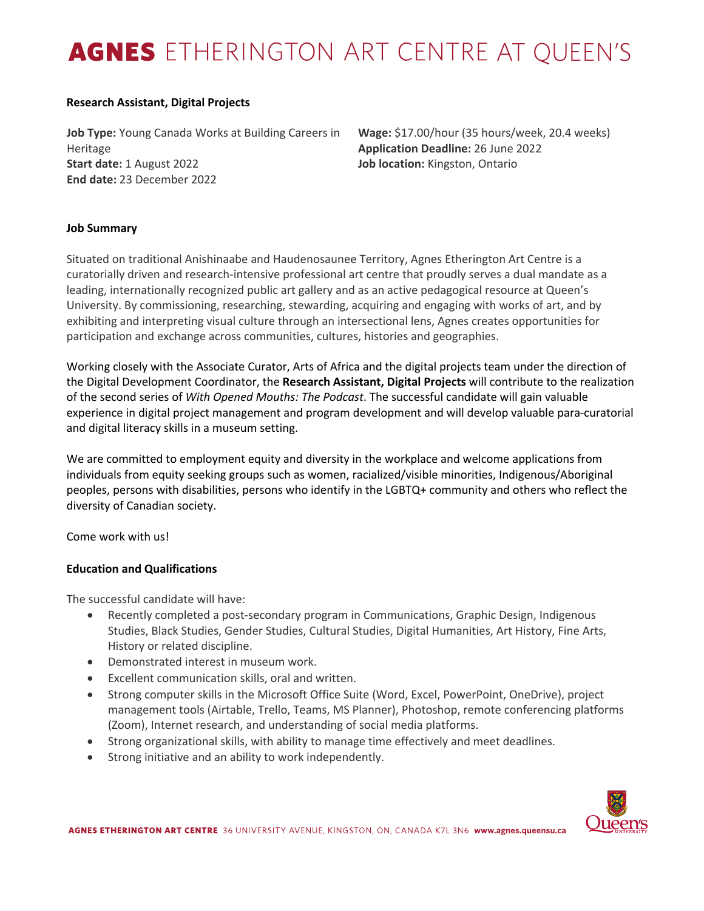# AGNES ETHERINGTON ART CENTRE AT QUEEN'S

#### **Research Assistant, Digital Projects**

**Job Type:** Young Canada Works at Building Careers in Heritage **Start date:** 1 August 2022 **End date:** 23 December 2022

**Wage:** \$17.00/hour (35 hours/week, 20.4 weeks) **Application Deadline:** 26 June 2022 **Job location:** Kingston, Ontario

## **Job Summary**

Situated on traditional Anishinaabe and Haudenosaunee Territory, Agnes Etherington Art Centre is a curatorially driven and research-intensive professional art centre that proudly serves a dual mandate as a leading, internationally recognized public art gallery and as an active pedagogical resource at Queen's University. By commissioning, researching, stewarding, acquiring and engaging with works of art, and by exhibiting and interpreting visual culture through an intersectional lens, Agnes creates opportunities for participation and exchange across communities, cultures, histories and geographies.

Working closely with the Associate Curator, Arts of Africa and the digital projects team under the direction of the Digital Development Coordinator, the **Research Assistant, Digital Projects** will contribute to the realization of the second series of *With Opened Mouths: The Podcast*. The successful candidate will gain valuable experience in digital project management and program development and will develop valuable para-curatorial and digital literacy skills in a museum setting.

We are committed to employment equity and diversity in the workplace and welcome applications from individuals from equity seeking groups such as women, racialized/visible minorities, Indigenous/Aboriginal peoples, persons with disabilities, persons who identify in the LGBTQ+ community and others who reflect the diversity of Canadian society.

Come work with us!

## **Education and Qualifications**

The successful candidate will have:

- Recently completed a post-secondary program in Communications, Graphic Design, Indigenous Studies, Black Studies, Gender Studies, Cultural Studies, Digital Humanities, Art History, Fine Arts, History or related discipline.
- Demonstrated interest in museum work.
- Excellent communication skills, oral and written.
- Strong computer skills in the Microsoft Office Suite (Word, Excel, PowerPoint, OneDrive), project management tools (Airtable, Trello, Teams, MS Planner), Photoshop, remote conferencing platforms (Zoom), Internet research, and understanding of social media platforms.
- Strong organizational skills, with ability to manage time effectively and meet deadlines.
- Strong initiative and an ability to work independently.